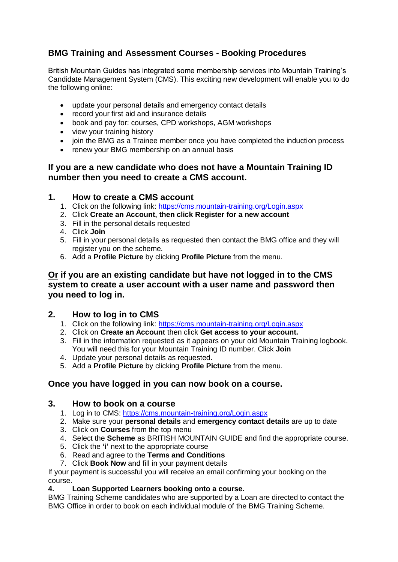# **BMG Training and Assessment Courses - Booking Procedures**

British Mountain Guides has integrated some membership services into Mountain Training's Candidate Management System (CMS). This exciting new development will enable you to do the following online:

- update your personal details and emergency contact details
- record your first aid and insurance details
- book and pay for: courses, CPD workshops, AGM workshops
- view your training history
- join the BMG as a Trainee member once you have completed the induction process
- renew your BMG membership on an annual basis

## **If you are a new candidate who does not have a Mountain Training ID number then you need to create a CMS account.**

### **1. How to create a CMS account**

- 1. Click on the following link:<https://cms.mountain-training.org/Login.aspx>
- 2. Click **Create an Account, then click Register for a new account**
- 3. Fill in the personal details requested
- 4. Click **Join**
- 5. Fill in your personal details as requested then contact the BMG office and they will register you on the scheme.
- 6. Add a **Profile Picture** by clicking **Profile Picture** from the menu.

### **Or if you are an existing candidate but have not logged in to the CMS system to create a user account with a user name and password then you need to log in.**

### **2. How to log in to CMS**

- 1. Click on the following link:<https://cms.mountain-training.org/Login.aspx>
- 2. Click on **Create an Account** then click **Get access to your account.**
- 3. Fill in the information requested as it appears on your old Mountain Training logbook. You will need this for your Mountain Training ID number. Click **Join**
- 4. Update your personal details as requested.
- 5. Add a **Profile Picture** by clicking **Profile Picture** from the menu.

### **Once you have logged in you can now book on a course.**

### **3. How to book on a course**

- 1. Log in to CMS:<https://cms.mountain-training.org/Login.aspx>
- 2. Make sure your **personal details** and **emergency contact details** are up to date
- 3. Click on **Courses** from the top menu
- 4. Select the **Scheme** as BRITISH MOUNTAIN GUIDE and find the appropriate course.
- 5. Click the **'i'** next to the appropriate course
- 6. Read and agree to the **Terms and Conditions**
- 7. Click **Book Now** and fill in your payment details

If your payment is successful you will receive an email confirming your booking on the course.

#### **4. Loan Supported Learners booking onto a course.**

BMG Training Scheme candidates who are supported by a Loan are directed to contact the BMG Office in order to book on each individual module of the BMG Training Scheme.